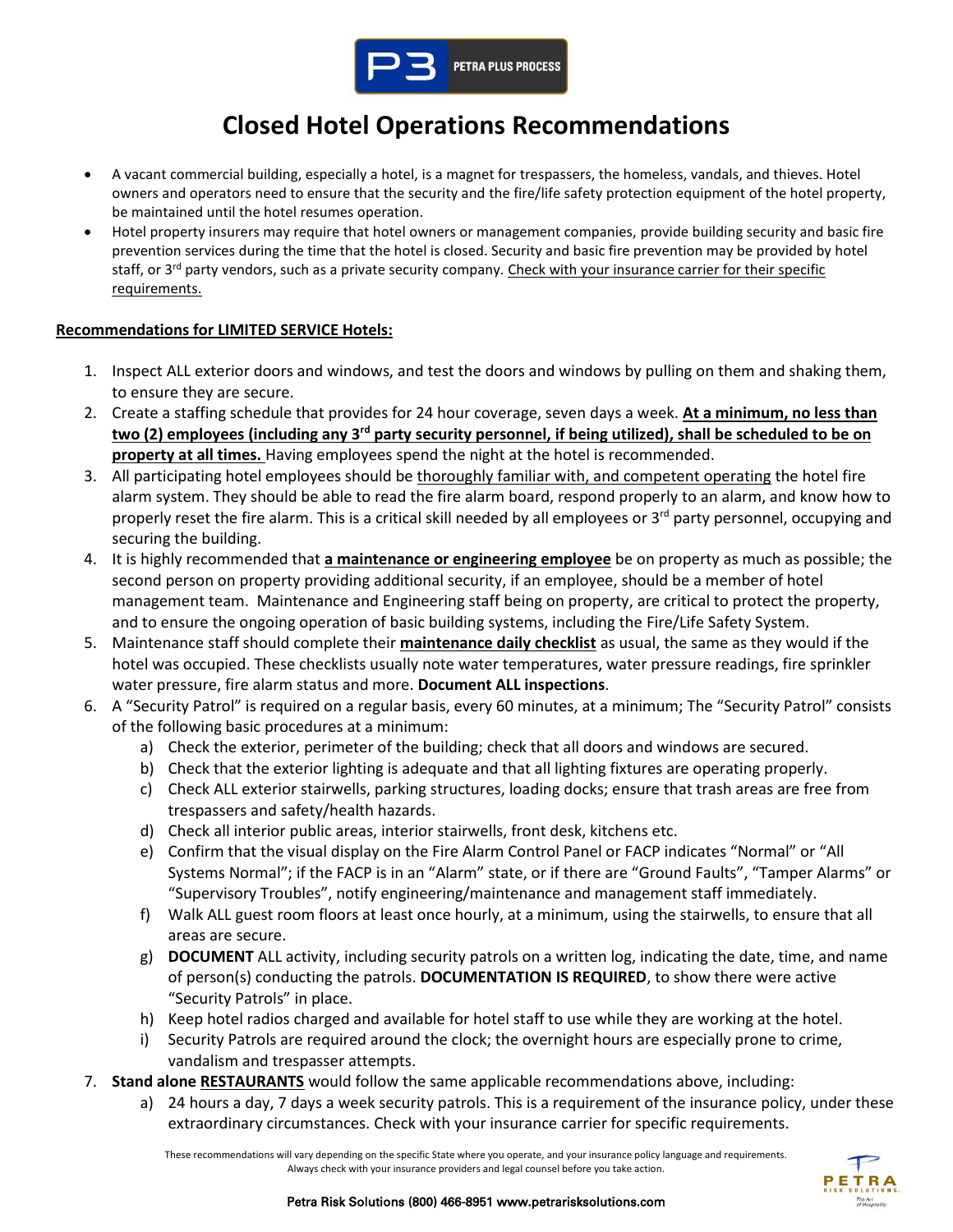

## **Closed Hotel Operations Recommendations**

- A vacant commercial building, especially a hotel, is a magnet for trespassers, the homeless, vandals, and thieves. Hotel owners and operators need to ensure that the security and the fire/life safety protection equipment of the hotel property, be maintained until the hotel resumes operation.
- Hotel property insurers may require that hotel owners or management companies, provide building security and basic fire prevention services during the time that the hotel is closed. Security and basic fire prevention may be provided by hotel staff, or 3<sup>rd</sup> party vendors, such as a private security company. Check with your insurance carrier for their specific requirements.

## **Recommendations for LIMITED SERVICE Hotels:**

- 1. Inspect ALL exterior doors and windows, and test the doors and windows by pulling on them and shaking them, to ensure they are secure.
- 2. Create a staffing schedule that provides for 24 hour coverage, seven days a week. **At a minimum, no less than two (2) employees (including any 3rd party security personnel, if being utilized), shall be scheduled to be on property at all times.** Having employees spend the night at the hotel is recommended.
- 3. All participating hotel employees should be thoroughly familiar with, and competent operating the hotel fire alarm system. They should be able to read the fire alarm board, respond properly to an alarm, and know how to properly reset the fire alarm. This is a critical skill needed by all employees or 3<sup>rd</sup> party personnel, occupying and securing the building.
- 4. It is highly recommended that **a maintenance or engineering employee** be on property as much as possible; the second person on property providing additional security, if an employee, should be a member of hotel management team. Maintenance and Engineering staff being on property, are critical to protect the property, and to ensure the ongoing operation of basic building systems, including the Fire/Life Safety System.
- 5. Maintenance staff should complete their **maintenance daily checklist** as usual, the same as they would if the hotel was occupied. These checklists usually note water temperatures, water pressure readings, fire sprinkler water pressure, fire alarm status and more. **Document ALL inspections**.
- 6. A "Security Patrol" is required on a regular basis, every 60 minutes, at a minimum; The "Security Patrol" consists of the following basic procedures at a minimum:
	- a) Check the exterior, perimeter of the building; check that all doors and windows are secured.
	- b) Check that the exterior lighting is adequate and that all lighting fixtures are operating properly.
	- c) Check ALL exterior stairwells, parking structures, loading docks; ensure that trash areas are free from trespassers and safety/health hazards.
	- d) Check all interior public areas, interior stairwells, front desk, kitchens etc.
	- e) Confirm that the visual display on the Fire Alarm Control Panel or FACP indicates "Normal" or "All Systems Normal"; if the FACP is in an "Alarm" state, or if there are "Ground Faults", "Tamper Alarms" or "Supervisory Troubles", notify engineering/maintenance and management staff immediately.
	- f) Walk ALL guest room floors at least once hourly, at a minimum, using the stairwells, to ensure that all areas are secure.
	- g) **DOCUMENT** ALL activity, including security patrols on a written log, indicating the date, time, and name of person(s) conducting the patrols. **DOCUMENTATION IS REQUIRED**, to show there were active "Security Patrols" in place.
	- h) Keep hotel radios charged and available for hotel staff to use while they are working at the hotel.
	- i) Security Patrols are required around the clock; the overnight hours are especially prone to crime, vandalism and trespasser attempts.
- 7. **Stand alone RESTAURANTS** would follow the same applicable recommendations above, including:
	- a) 24 hours a day, 7 days a week security patrols. This is a requirement of the insurance policy, under these extraordinary circumstances. Check with your insurance carrier for specific requirements.

These recommendations will vary depending on the specific State where you operate, and your insurance policy language and requirements. Always check with your insurance providers and legal counsel before you take action.